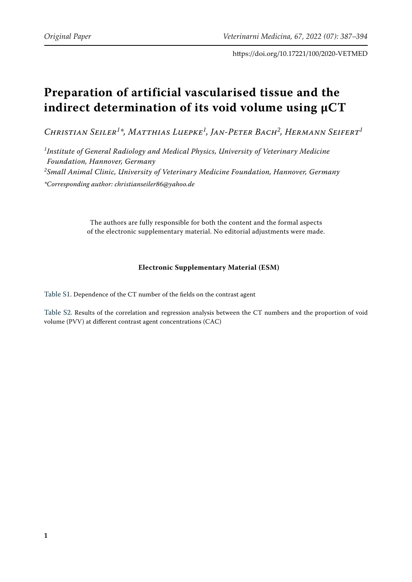https://doi.org/10.17221/100/2020-VETMED

## **Preparation of artificial vascularised tissue and the indirect determination of its void volume using µCT**

*Christian Seiler<sup>1</sup> \*, Matthias Luepke<sup>1</sup> , Jan-Peter Bach<sup>2</sup> , Hermann Seifert<sup>1</sup>*

*1 Institute of General Radiology and Medical Physics, University of Veterinary Medicine Foundation, Hannover, Germany 2 Small Animal Clinic, University of Veterinary Medicine Foundation, Hannover, Germany \*Corresponding author: christianseiler86@yahoo.de*

> The authors are fully responsible for both the content and the formal aspects of the electronic supplementary material. No editorial adjustments were made.

## **Electronic Supplementary Material (ESM)**

[Table S1.](#page-1-0) Dependence of the CT number of the fields on the contrast agent

[Table S2](#page-1-1). Results of the correlation and regression analysis between the CT numbers and the proportion of void volume (PVV) at different contrast agent concentrations (CAC)